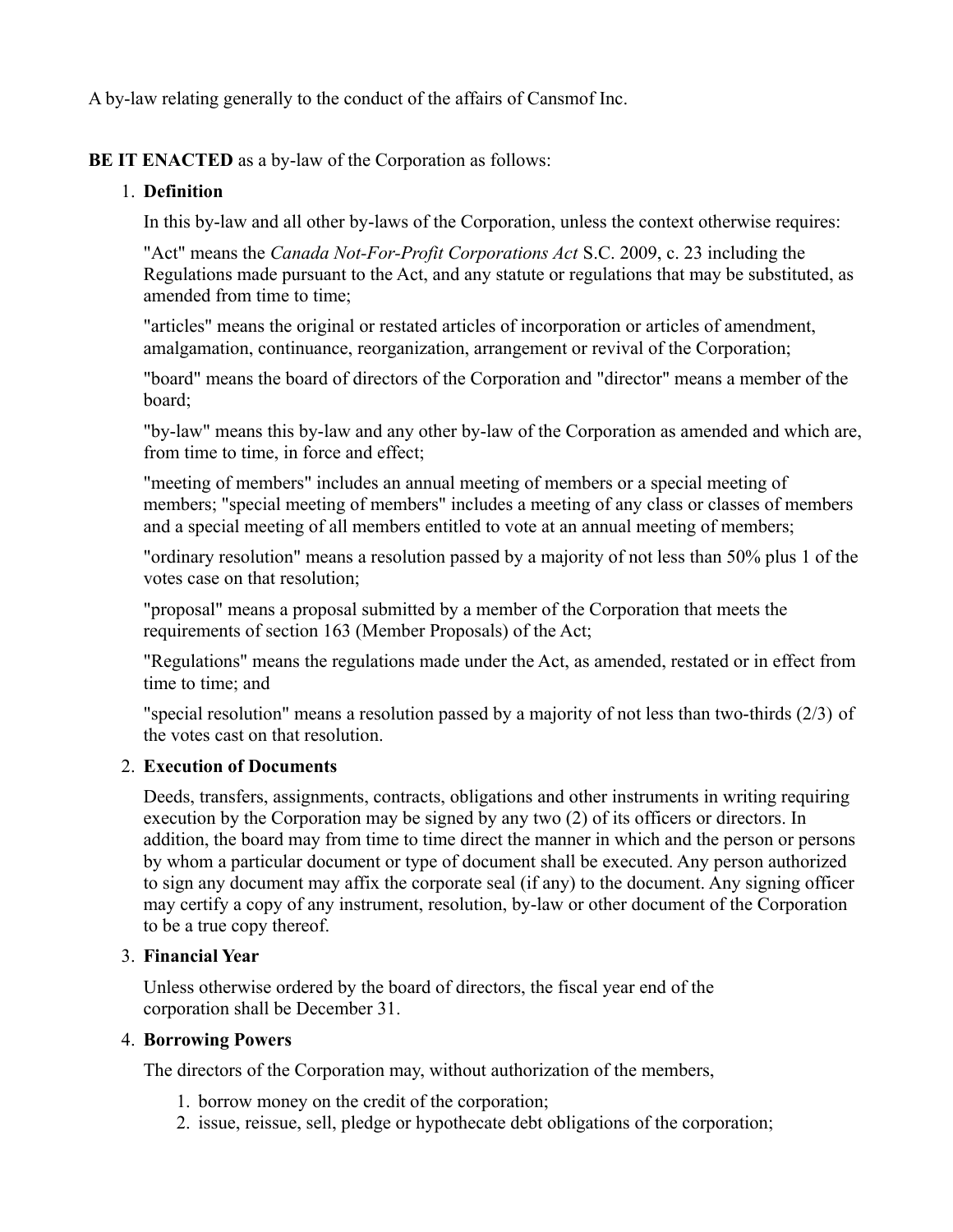A by-law relating generally to the conduct of the affairs of Cansmof Inc.

**BE IT ENACTED** as a by-law of the Corporation as follows:

# 1. **Definition**

In this by-law and all other by-laws of the Corporation, unless the context otherwise requires:

"Act" means the *Canada Not-For-Profit Corporations Act* S.C. 2009, c. 23 including the Regulations made pursuant to the Act, and any statute or regulations that may be substituted, as amended from time to time;

"articles" means the original or restated articles of incorporation or articles of amendment, amalgamation, continuance, reorganization, arrangement or revival of the Corporation;

"board" means the board of directors of the Corporation and "director" means a member of the board;

"by-law" means this by-law and any other by-law of the Corporation as amended and which are, from time to time, in force and effect;

"meeting of members" includes an annual meeting of members or a special meeting of members; "special meeting of members" includes a meeting of any class or classes of members and a special meeting of all members entitled to vote at an annual meeting of members;

"ordinary resolution" means a resolution passed by a majority of not less than 50% plus 1 of the votes case on that resolution;

"proposal" means a proposal submitted by a member of the Corporation that meets the requirements of section 163 (Member Proposals) of the Act;

"Regulations" means the regulations made under the Act, as amended, restated or in effect from time to time; and

"special resolution" means a resolution passed by a majority of not less than two-thirds (2/3) of the votes cast on that resolution.

## 2. **Execution of Documents**

Deeds, transfers, assignments, contracts, obligations and other instruments in writing requiring execution by the Corporation may be signed by any two (2) of its officers or directors. In addition, the board may from time to time direct the manner in which and the person or persons by whom a particular document or type of document shall be executed. Any person authorized to sign any document may affix the corporate seal (if any) to the document. Any signing officer may certify a copy of any instrument, resolution, by-law or other document of the Corporation to be a true copy thereof.

## 3. **Financial Year**

Unless otherwise ordered by the board of directors, the fiscal year end of the corporation shall be December 31.

## 4. **Borrowing Powers**

The directors of the Corporation may, without authorization of the members,

- 1. borrow money on the credit of the corporation;
- 2. issue, reissue, sell, pledge or hypothecate debt obligations of the corporation;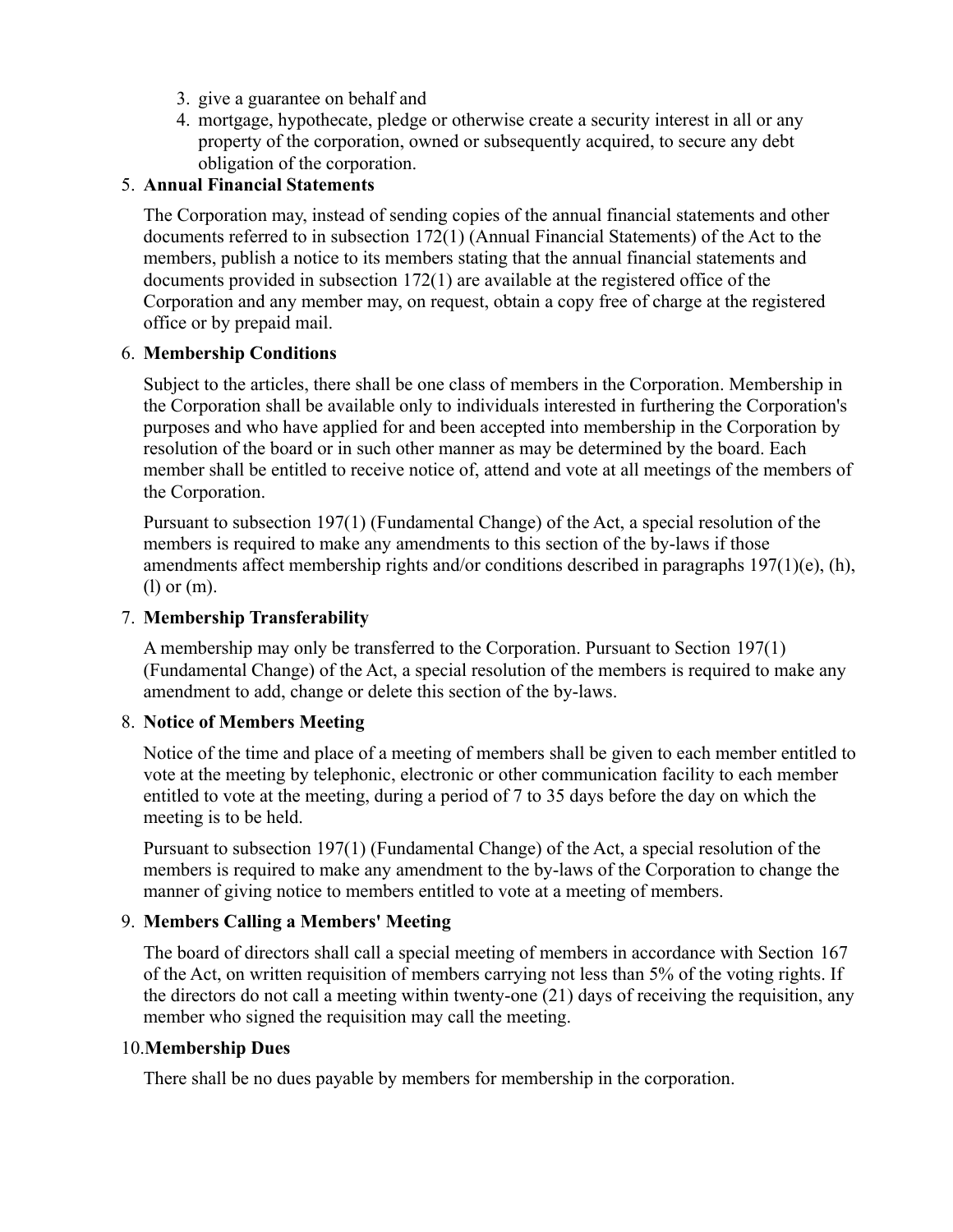- 3. give a guarantee on behalf and
- 4. mortgage, hypothecate, pledge or otherwise create a security interest in all or any property of the corporation, owned or subsequently acquired, to secure any debt obligation of the corporation.

# 5. **Annual Financial Statements**

The Corporation may, instead of sending copies of the annual financial statements and other documents referred to in subsection 172(1) (Annual Financial Statements) of the Act to the members, publish a notice to its members stating that the annual financial statements and documents provided in subsection 172(1) are available at the registered office of the Corporation and any member may, on request, obtain a copy free of charge at the registered office or by prepaid mail.

### 6. **Membership Conditions**

Subject to the articles, there shall be one class of members in the Corporation. Membership in the Corporation shall be available only to individuals interested in furthering the Corporation's purposes and who have applied for and been accepted into membership in the Corporation by resolution of the board or in such other manner as may be determined by the board. Each member shall be entitled to receive notice of, attend and vote at all meetings of the members of the Corporation.

Pursuant to subsection 197(1) (Fundamental Change) of the Act, a special resolution of the members is required to make any amendments to this section of the by-laws if those amendments affect membership rights and/or conditions described in paragraphs 197(1)(e), (h), (l) or (m).

## 7. **Membership Transferability**

A membership may only be transferred to the Corporation. Pursuant to Section 197(1) (Fundamental Change) of the Act, a special resolution of the members is required to make any amendment to add, change or delete this section of the by-laws.

## 8. **Notice of Members Meeting**

Notice of the time and place of a meeting of members shall be given to each member entitled to vote at the meeting by telephonic, electronic or other communication facility to each member entitled to vote at the meeting, during a period of 7 to 35 days before the day on which the meeting is to be held.

Pursuant to subsection 197(1) (Fundamental Change) of the Act, a special resolution of the members is required to make any amendment to the by-laws of the Corporation to change the manner of giving notice to members entitled to vote at a meeting of members.

## 9. **Members Calling a Members' Meeting**

The board of directors shall call a special meeting of members in accordance with Section 167 of the Act, on written requisition of members carrying not less than 5% of the voting rights. If the directors do not call a meeting within twenty-one (21) days of receiving the requisition, any member who signed the requisition may call the meeting.

### 10.**Membership Dues**

There shall be no dues payable by members for membership in the corporation.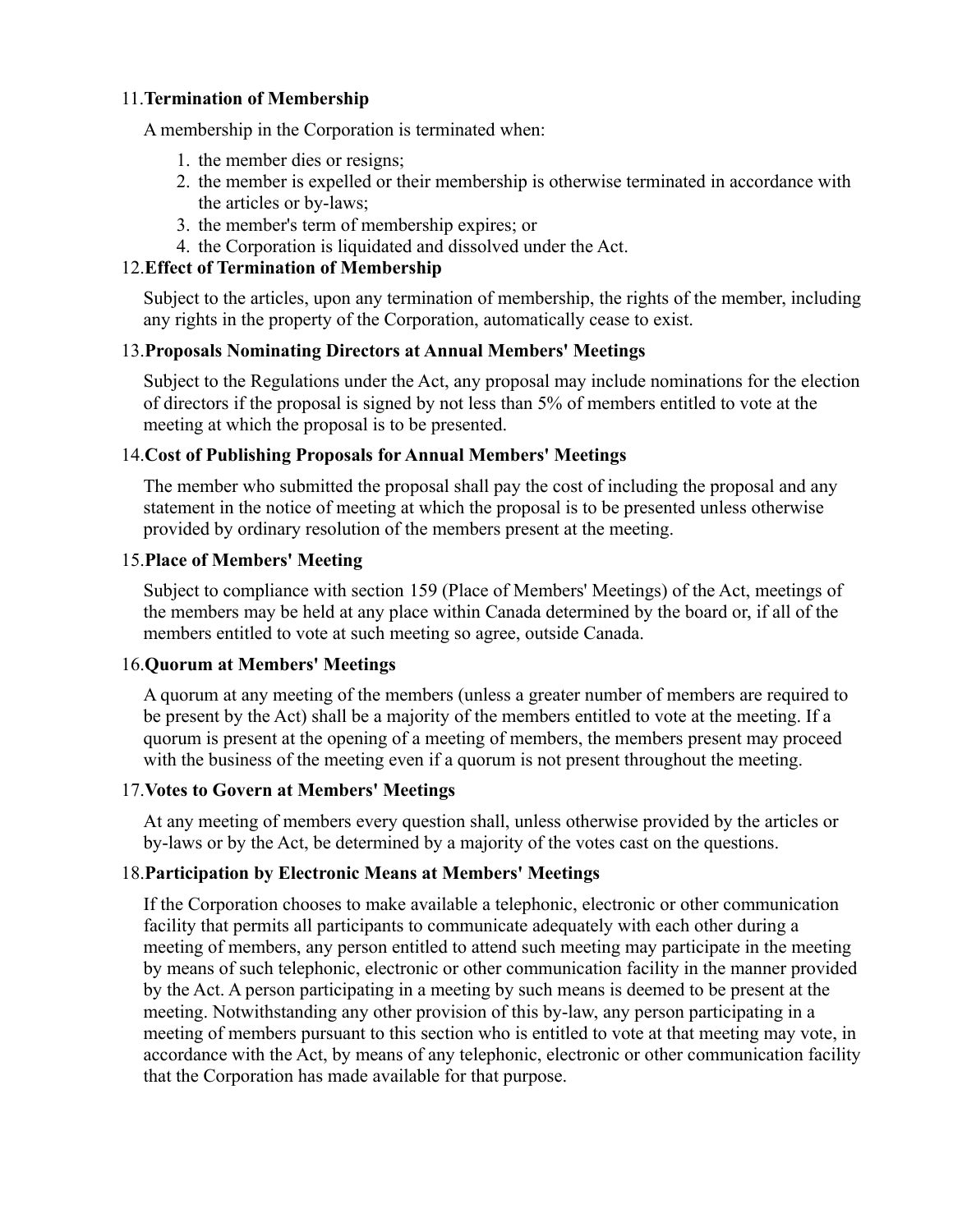## 11.**Termination of Membership**

A membership in the Corporation is terminated when:

- 1. the member dies or resigns;
- 2. the member is expelled or their membership is otherwise terminated in accordance with the articles or by-laws;
- 3. the member's term of membership expires; or
- 4. the Corporation is liquidated and dissolved under the Act.

# 12.**Effect of Termination of Membership**

Subject to the articles, upon any termination of membership, the rights of the member, including any rights in the property of the Corporation, automatically cease to exist.

# 13.**Proposals Nominating Directors at Annual Members' Meetings**

Subject to the Regulations under the Act, any proposal may include nominations for the election of directors if the proposal is signed by not less than 5% of members entitled to vote at the meeting at which the proposal is to be presented.

# 14.**Cost of Publishing Proposals for Annual Members' Meetings**

The member who submitted the proposal shall pay the cost of including the proposal and any statement in the notice of meeting at which the proposal is to be presented unless otherwise provided by ordinary resolution of the members present at the meeting.

## 15.**Place of Members' Meeting**

Subject to compliance with section 159 (Place of Members' Meetings) of the Act, meetings of the members may be held at any place within Canada determined by the board or, if all of the members entitled to vote at such meeting so agree, outside Canada.

## 16.**Quorum at Members' Meetings**

A quorum at any meeting of the members (unless a greater number of members are required to be present by the Act) shall be a majority of the members entitled to vote at the meeting. If a quorum is present at the opening of a meeting of members, the members present may proceed with the business of the meeting even if a quorum is not present throughout the meeting.

## 17.**Votes to Govern at Members' Meetings**

At any meeting of members every question shall, unless otherwise provided by the articles or by-laws or by the Act, be determined by a majority of the votes cast on the questions.

# 18.**Participation by Electronic Means at Members' Meetings**

If the Corporation chooses to make available a telephonic, electronic or other communication facility that permits all participants to communicate adequately with each other during a meeting of members, any person entitled to attend such meeting may participate in the meeting by means of such telephonic, electronic or other communication facility in the manner provided by the Act. A person participating in a meeting by such means is deemed to be present at the meeting. Notwithstanding any other provision of this by-law, any person participating in a meeting of members pursuant to this section who is entitled to vote at that meeting may vote, in accordance with the Act, by means of any telephonic, electronic or other communication facility that the Corporation has made available for that purpose.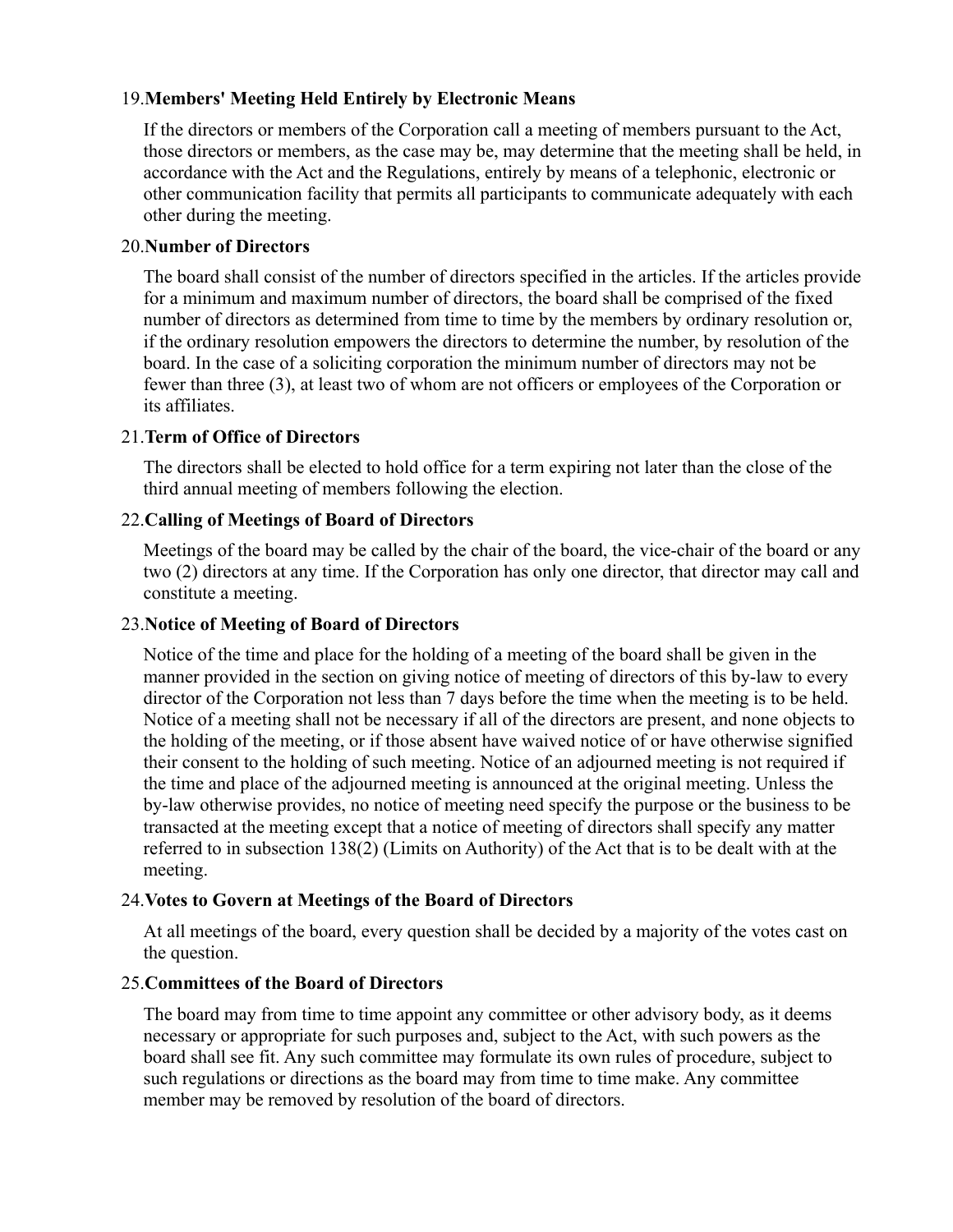### 19.**Members' Meeting Held Entirely by Electronic Means**

If the directors or members of the Corporation call a meeting of members pursuant to the Act, those directors or members, as the case may be, may determine that the meeting shall be held, in accordance with the Act and the Regulations, entirely by means of a telephonic, electronic or other communication facility that permits all participants to communicate adequately with each other during the meeting.

### 20.**Number of Directors**

The board shall consist of the number of directors specified in the articles. If the articles provide for a minimum and maximum number of directors, the board shall be comprised of the fixed number of directors as determined from time to time by the members by ordinary resolution or, if the ordinary resolution empowers the directors to determine the number, by resolution of the board. In the case of a soliciting corporation the minimum number of directors may not be fewer than three (3), at least two of whom are not officers or employees of the Corporation or its affiliates.

### 21.**Term of Office of Directors**

The directors shall be elected to hold office for a term expiring not later than the close of the third annual meeting of members following the election.

### 22.**Calling of Meetings of Board of Directors**

Meetings of the board may be called by the chair of the board, the vice-chair of the board or any two (2) directors at any time. If the Corporation has only one director, that director may call and constitute a meeting.

### 23.**Notice of Meeting of Board of Directors**

Notice of the time and place for the holding of a meeting of the board shall be given in the manner provided in the section on giving notice of meeting of directors of this by-law to every director of the Corporation not less than 7 days before the time when the meeting is to be held. Notice of a meeting shall not be necessary if all of the directors are present, and none objects to the holding of the meeting, or if those absent have waived notice of or have otherwise signified their consent to the holding of such meeting. Notice of an adjourned meeting is not required if the time and place of the adjourned meeting is announced at the original meeting. Unless the by-law otherwise provides, no notice of meeting need specify the purpose or the business to be transacted at the meeting except that a notice of meeting of directors shall specify any matter referred to in subsection 138(2) (Limits on Authority) of the Act that is to be dealt with at the meeting.

#### 24.**Votes to Govern at Meetings of the Board of Directors**

At all meetings of the board, every question shall be decided by a majority of the votes cast on the question.

## 25.**Committees of the Board of Directors**

The board may from time to time appoint any committee or other advisory body, as it deems necessary or appropriate for such purposes and, subject to the Act, with such powers as the board shall see fit. Any such committee may formulate its own rules of procedure, subject to such regulations or directions as the board may from time to time make. Any committee member may be removed by resolution of the board of directors.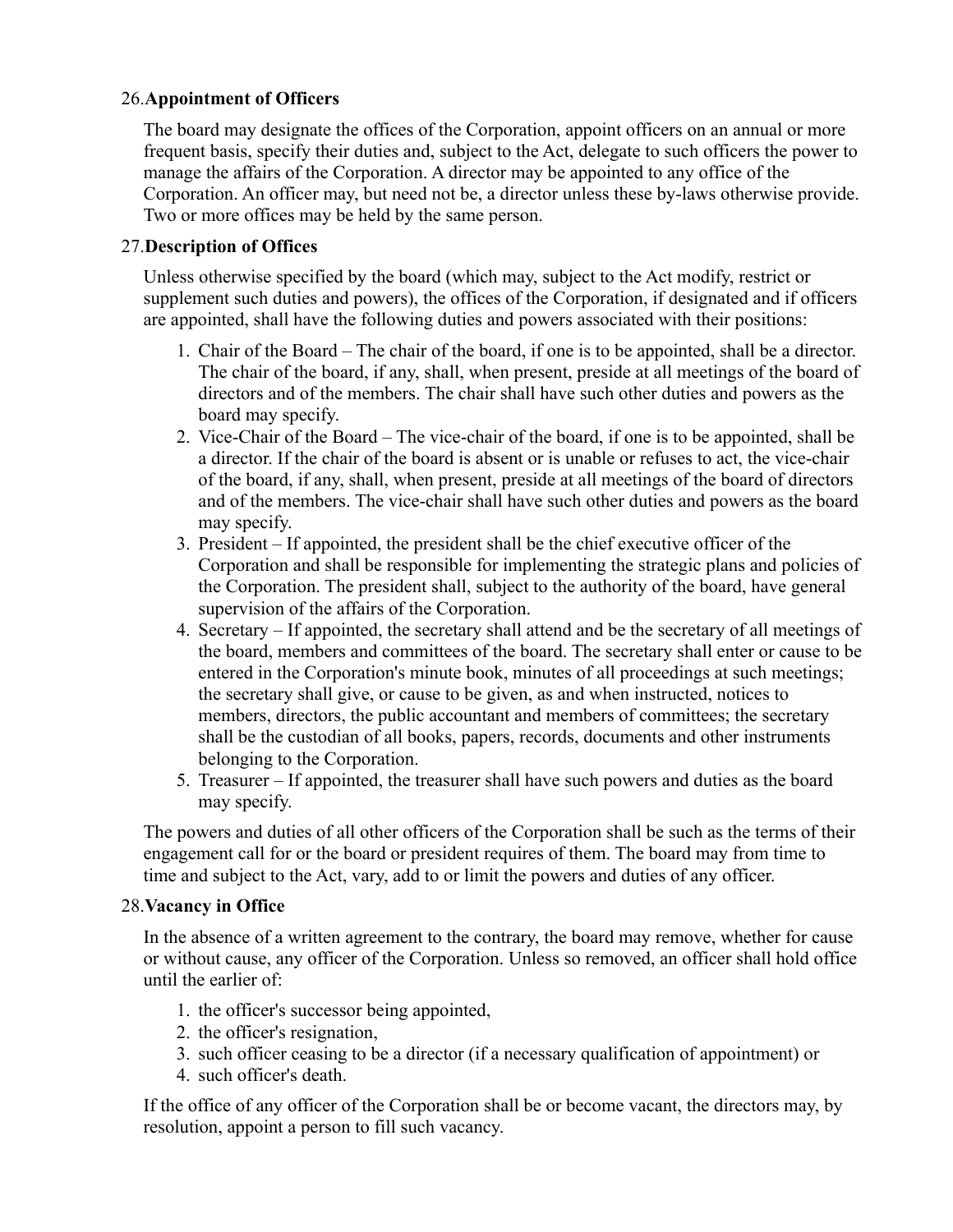## 26.**Appointment of Officers**

The board may designate the offices of the Corporation, appoint officers on an annual or more frequent basis, specify their duties and, subject to the Act, delegate to such officers the power to manage the affairs of the Corporation. A director may be appointed to any office of the Corporation. An officer may, but need not be, a director unless these by-laws otherwise provide. Two or more offices may be held by the same person.

# 27.**Description of Offices**

Unless otherwise specified by the board (which may, subject to the Act modify, restrict or supplement such duties and powers), the offices of the Corporation, if designated and if officers are appointed, shall have the following duties and powers associated with their positions:

- 1. Chair of the Board The chair of the board, if one is to be appointed, shall be a director. The chair of the board, if any, shall, when present, preside at all meetings of the board of directors and of the members. The chair shall have such other duties and powers as the board may specify.
- 2. Vice-Chair of the Board The vice-chair of the board, if one is to be appointed, shall be a director. If the chair of the board is absent or is unable or refuses to act, the vice-chair of the board, if any, shall, when present, preside at all meetings of the board of directors and of the members. The vice-chair shall have such other duties and powers as the board may specify.
- 3. President If appointed, the president shall be the chief executive officer of the Corporation and shall be responsible for implementing the strategic plans and policies of the Corporation. The president shall, subject to the authority of the board, have general supervision of the affairs of the Corporation.
- 4. Secretary If appointed, the secretary shall attend and be the secretary of all meetings of the board, members and committees of the board. The secretary shall enter or cause to be entered in the Corporation's minute book, minutes of all proceedings at such meetings; the secretary shall give, or cause to be given, as and when instructed, notices to members, directors, the public accountant and members of committees; the secretary shall be the custodian of all books, papers, records, documents and other instruments belonging to the Corporation.
- 5. Treasurer If appointed, the treasurer shall have such powers and duties as the board may specify.

The powers and duties of all other officers of the Corporation shall be such as the terms of their engagement call for or the board or president requires of them. The board may from time to time and subject to the Act, vary, add to or limit the powers and duties of any officer.

## 28.**Vacancy in Office**

In the absence of a written agreement to the contrary, the board may remove, whether for cause or without cause, any officer of the Corporation. Unless so removed, an officer shall hold office until the earlier of:

- 1. the officer's successor being appointed,
- 2. the officer's resignation,
- 3. such officer ceasing to be a director (if a necessary qualification of appointment) or
- 4. such officer's death.

If the office of any officer of the Corporation shall be or become vacant, the directors may, by resolution, appoint a person to fill such vacancy.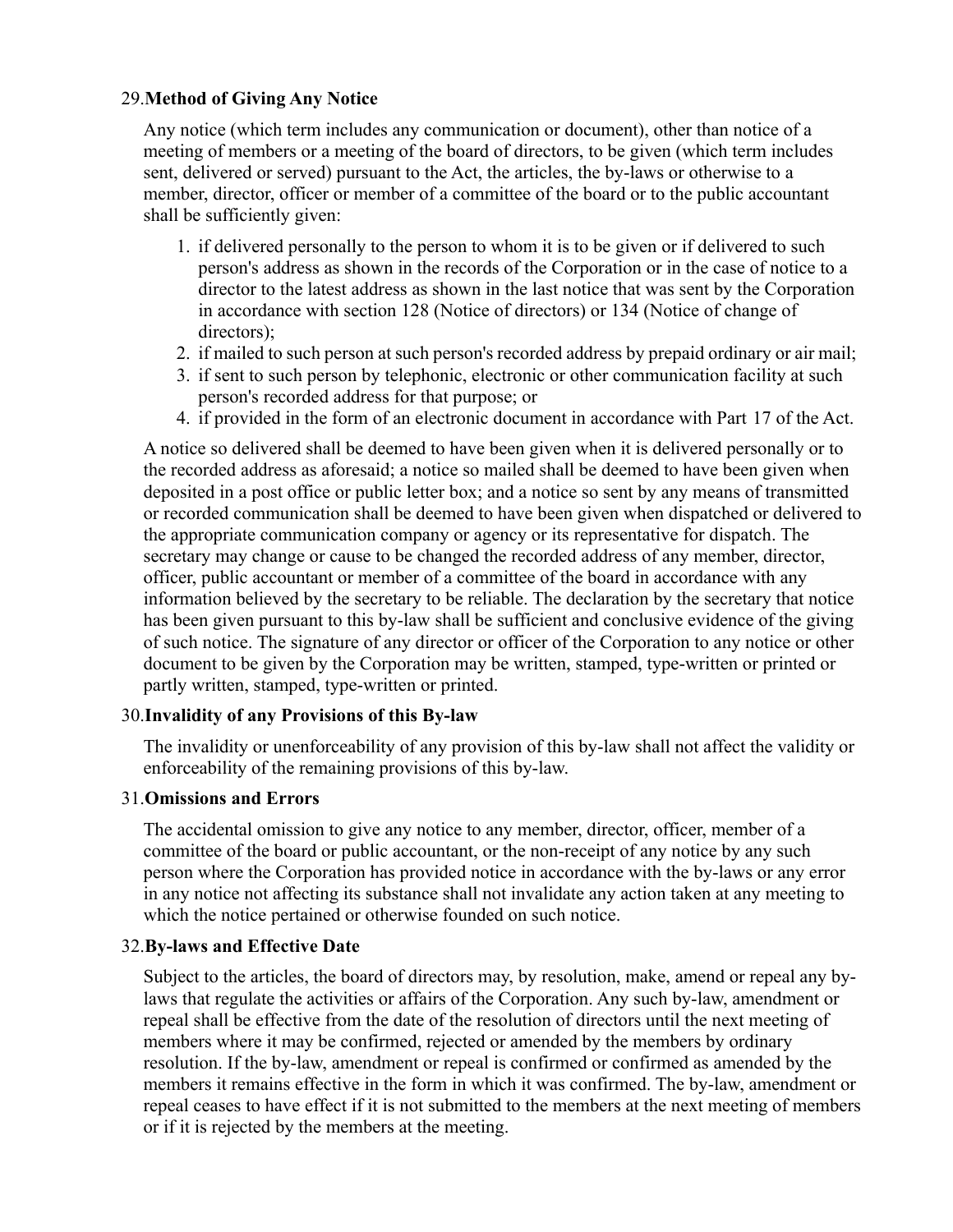## 29.**Method of Giving Any Notice**

Any notice (which term includes any communication or document), other than notice of a meeting of members or a meeting of the board of directors, to be given (which term includes sent, delivered or served) pursuant to the Act, the articles, the by-laws or otherwise to a member, director, officer or member of a committee of the board or to the public accountant shall be sufficiently given:

- 1. if delivered personally to the person to whom it is to be given or if delivered to such person's address as shown in the records of the Corporation or in the case of notice to a director to the latest address as shown in the last notice that was sent by the Corporation in accordance with section 128 (Notice of directors) or 134 (Notice of change of directors);
- 2. if mailed to such person at such person's recorded address by prepaid ordinary or air mail;
- 3. if sent to such person by telephonic, electronic or other communication facility at such person's recorded address for that purpose; or
- 4. if provided in the form of an electronic document in accordance with Part 17 of the Act.

A notice so delivered shall be deemed to have been given when it is delivered personally or to the recorded address as aforesaid; a notice so mailed shall be deemed to have been given when deposited in a post office or public letter box; and a notice so sent by any means of transmitted or recorded communication shall be deemed to have been given when dispatched or delivered to the appropriate communication company or agency or its representative for dispatch. The secretary may change or cause to be changed the recorded address of any member, director, officer, public accountant or member of a committee of the board in accordance with any information believed by the secretary to be reliable. The declaration by the secretary that notice has been given pursuant to this by-law shall be sufficient and conclusive evidence of the giving of such notice. The signature of any director or officer of the Corporation to any notice or other document to be given by the Corporation may be written, stamped, type-written or printed or partly written, stamped, type-written or printed.

## 30.**Invalidity of any Provisions of this By-law**

The invalidity or unenforceability of any provision of this by-law shall not affect the validity or enforceability of the remaining provisions of this by-law.

### 31.**Omissions and Errors**

The accidental omission to give any notice to any member, director, officer, member of a committee of the board or public accountant, or the non-receipt of any notice by any such person where the Corporation has provided notice in accordance with the by-laws or any error in any notice not affecting its substance shall not invalidate any action taken at any meeting to which the notice pertained or otherwise founded on such notice.

## 32.**By-laws and Effective Date**

Subject to the articles, the board of directors may, by resolution, make, amend or repeal any bylaws that regulate the activities or affairs of the Corporation. Any such by-law, amendment or repeal shall be effective from the date of the resolution of directors until the next meeting of members where it may be confirmed, rejected or amended by the members by ordinary resolution. If the by-law, amendment or repeal is confirmed or confirmed as amended by the members it remains effective in the form in which it was confirmed. The by-law, amendment or repeal ceases to have effect if it is not submitted to the members at the next meeting of members or if it is rejected by the members at the meeting.